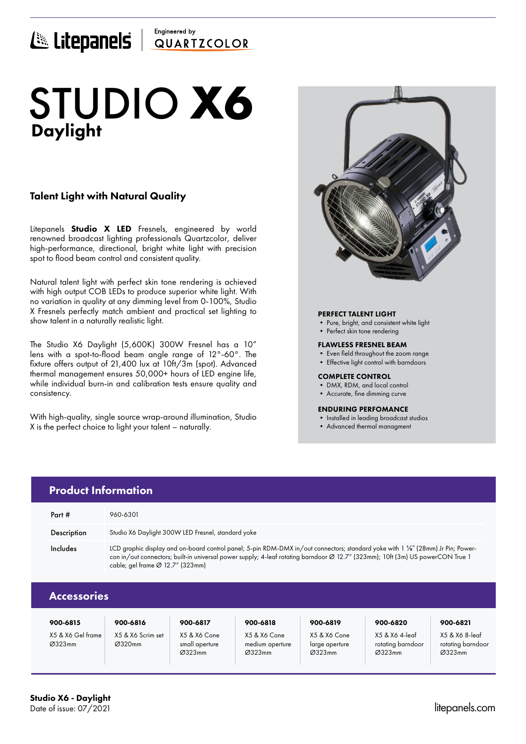# Engineered by E Litepanels QUARTICOLOR

# Daylight STUDIO **X6**

### Talent Light with Natural Quality

Litepanels **Studio X LED** Fresnels, engineered by world renowned broadcast lighting professionals Quartzcolor, deliver high-performance, directional, bright white light with precision spot to flood beam control and consistent quality.

Natural talent light with perfect skin tone rendering is achieved with high output COB LEDs to produce superior white light. With no variation in quality at any dimming level from 0-100%, Studio X Fresnels perfectly match ambient and practical set lighting to show talent in a naturally realistic light.

The Studio X6 Daylight (5,600K) 300W Fresnel has a 10" lens with a spot-to-flood beam angle range of 12°-60°. The fixture offers output of 21,400 lux at 10ft/3m (spot). Advanced thermal management ensures 50,000+ hours of LED engine life, while individual burn-in and calibration tests ensure quality and consistency.

With high-quality, single source wrap-around illumination, Studio X is the perfect choice to light your talent – naturally.



### PERFECT TALENT LIGHT

- Pure, bright, and consistent white light
- Perfect skin tone rendering

### FLAWLESS FRESNEL BEAM

- Even field throughout the zoom range
- Effective light control with barndoors

### COMPLETE CONTROL

- DMX, RDM, and local control
- Accurate, fine dimming curve

### ENDURING PERFOMANCE

- Installed in leading broadcast studios
- Advanced thermal managment

|                    | <b>Product Information</b>                                                                                                                                                                                                                                                                                         |
|--------------------|--------------------------------------------------------------------------------------------------------------------------------------------------------------------------------------------------------------------------------------------------------------------------------------------------------------------|
| Part $#$           | 960-6301                                                                                                                                                                                                                                                                                                           |
| Description        | Studio X6 Daylight 300W LED Fresnel, standard yoke                                                                                                                                                                                                                                                                 |
| Includes           | LCD graphic display and on-board control panel; 5-pin RDM-DMX in/out connectors; standard yoke with 1 1/8" (28mm) Jr Pin; Power-<br>con in/out connectors; built-in universal power supply; 4-leaf rotating barndoor Ø 12.7" (323mm); 10ft (3m) US powerCON True 1<br>cable; gel frame $\varnothing$ 12.7" (323mm) |
| <b>Accessories</b> |                                                                                                                                                                                                                                                                                                                    |

| 900-6815                    | 900-6816                    | 900-6817                                 | 900-6818                                  | 900-6819                                 | 900-6820                                      | 900-6821                                      |
|-----------------------------|-----------------------------|------------------------------------------|-------------------------------------------|------------------------------------------|-----------------------------------------------|-----------------------------------------------|
| X5 & X6 Gel frame<br>Ø323mm | X5 & X6 Scrim set<br>Ø320mm | X5 & X6 Cone<br>small aperture<br>Ø323mm | X5 & X6 Cone<br>medium aperture<br>Ø323mm | X5 & X6 Cone<br>large aperture<br>Ø323mm | X5 & X6 4-leaf<br>rotating barndoor<br>Ø323mm | X5 & X6 8-leaf<br>rotating barndoor<br>Ø323mm |